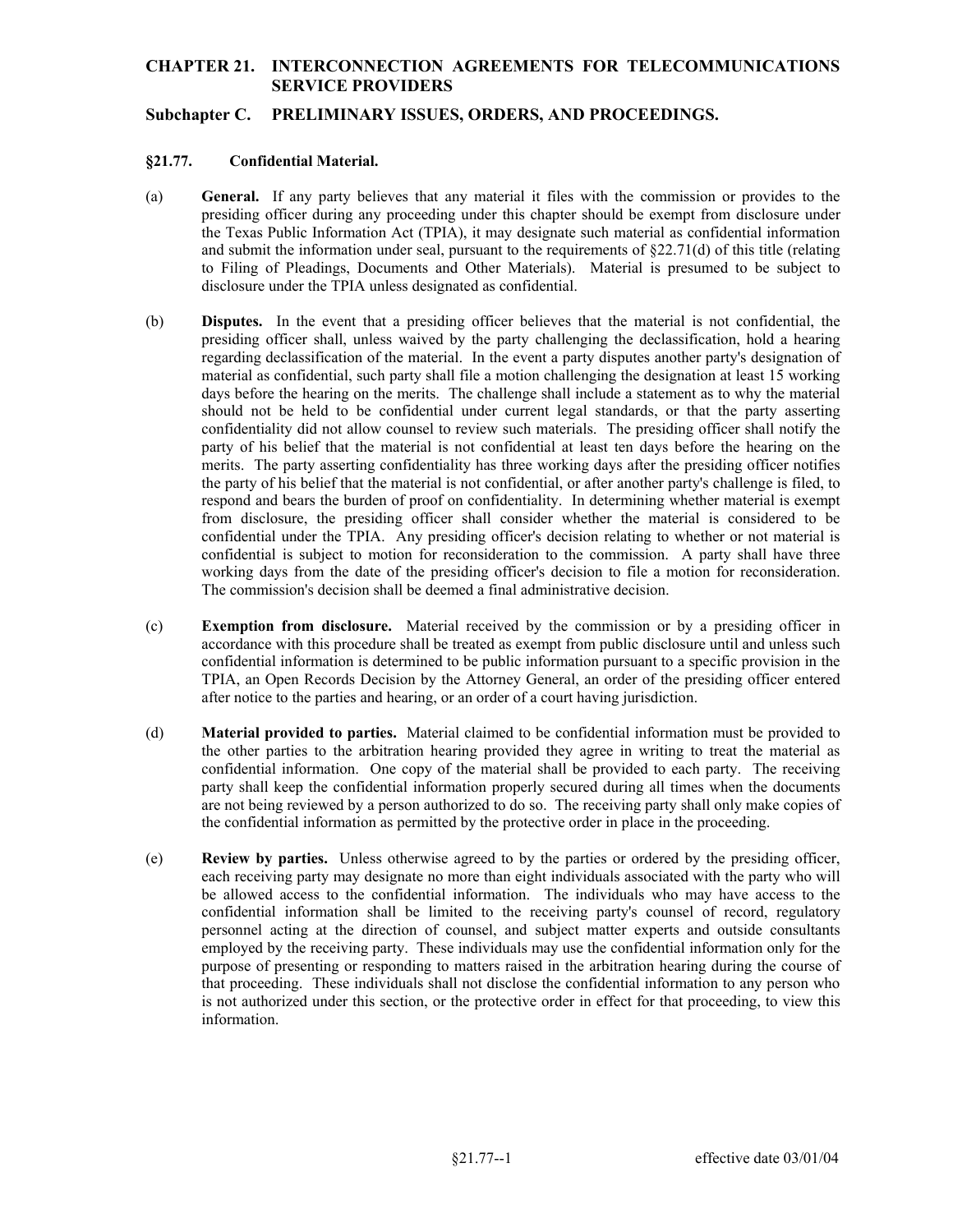## **CHAPTER 21. INTERCONNECTION AGREEMENTS FOR TELECOMMUNICATIONS SERVICE PROVIDERS**

## **Subchapter C. PRELIMINARY ISSUES, ORDERS, AND PROCEEDINGS.**

### **§21.77. Confidential Material.**

- (a) **General.** If any party believes that any material it files with the commission or provides to the presiding officer during any proceeding under this chapter should be exempt from disclosure under the Texas Public Information Act (TPIA), it may designate such material as confidential information and submit the information under seal, pursuant to the requirements of  $\S22.71(d)$  of this title (relating to Filing of Pleadings, Documents and Other Materials). Material is presumed to be subject to disclosure under the TPIA unless designated as confidential.
- (b) **Disputes.** In the event that a presiding officer believes that the material is not confidential, the confidentiality did not allow counsel to review such materials. The presiding officer shall notify the respond and bears the burden of proof on confidentiality. In determining whether material is exempt confidential is subject to motion for reconsideration to the commission. A party shall have three working days from the date of the presiding officer's decision to file a motion for reconsideration. The commission's decision shall be deemed a final administrative decision. presiding officer shall, unless waived by the party challenging the declassification, hold a hearing regarding declassification of the material. In the event a party disputes another party's designation of material as confidential, such party shall file a motion challenging the designation at least 15 working days before the hearing on the merits. The challenge shall include a statement as to why the material should not be held to be confidential under current legal standards, or that the party asserting party of his belief that the material is not confidential at least ten days before the hearing on the merits. The party asserting confidentiality has three working days after the presiding officer notifies the party of his belief that the material is not confidential, or after another party's challenge is filed, to from disclosure, the presiding officer shall consider whether the material is considered to be confidential under the TPIA. Any presiding officer's decision relating to whether or not material is
- TPIA, an Open Records Decision by the Attorney General, an order of the presiding officer entered after notice to the parties and hearing, or an order of a court having jurisdiction. (c) **Exemption from disclosure.** Material received by the commission or by a presiding officer in accordance with this procedure shall be treated as exempt from public disclosure until and unless such confidential information is determined to be public information pursuant to a specific provision in the
- (d) **Material provided to parties.** Material claimed to be confidential information must be provided to the other parties to the arbitration hearing provided they agree in writing to treat the material as confidential information. One copy of the material shall be provided to each party. The receiving party shall keep the confidential information properly secured during all times when the documents are not being reviewed by a person authorized to do so. The receiving party shall only make copies of the confidential information as permitted by the protective order in place in the proceeding.
- that proceeding. These individuals shall not disclose the confidential information to any person who (e) **Review by parties.** Unless otherwise agreed to by the parties or ordered by the presiding officer, each receiving party may designate no more than eight individuals associated with the party who will be allowed access to the confidential information. The individuals who may have access to the confidential information shall be limited to the receiving party's counsel of record, regulatory personnel acting at the direction of counsel, and subject matter experts and outside consultants employed by the receiving party. These individuals may use the confidential information only for the purpose of presenting or responding to matters raised in the arbitration hearing during the course of is not authorized under this section, or the protective order in effect for that proceeding, to view this information.